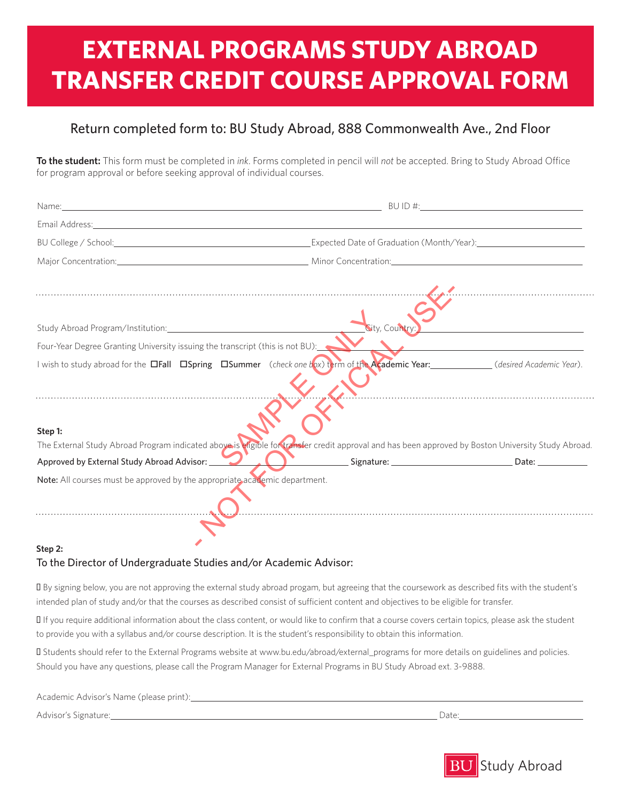## **EXTERNAL PROGRAMS STUDY ABROAD TRANSFER CREDIT COURSE APPROVAL FORM**

## Return completed form to: BU Study Abroad, 888 Commonwealth Ave., 2nd Floor

**To the student:** This form must be completed in *ink*. Forms completed in pencil will *not* be accepted. Bring to Study Abroad Office for program approval or before seeking approval of individual courses.

| Email Address: 1988 Contract Contract Contract Contract Contract Contract Contract Contract Contract Contract Contract Contract Contract Contract Contract Contract Contract Contract Contract Contract Contract Contract Cont |                |                                                                                                                                  |
|--------------------------------------------------------------------------------------------------------------------------------------------------------------------------------------------------------------------------------|----------------|----------------------------------------------------------------------------------------------------------------------------------|
|                                                                                                                                                                                                                                |                |                                                                                                                                  |
| Major Concentration: <b>Major Concentration</b> Minor Concentration: <b>Major Concentration:</b>                                                                                                                               |                |                                                                                                                                  |
|                                                                                                                                                                                                                                |                |                                                                                                                                  |
|                                                                                                                                                                                                                                | City, Country: | <u> 1986 - Johann Barbara, martin eta politikaria (h. 1986).</u><br>1900 - Johann Barbara, ingilariar eta politikaria (h. 1900). |
| Four-Year Degree Granting University issuing the transcript (this is not BU):                                                                                                                                                  |                | $\Delta$                                                                                                                         |
| I wish to study abroad for the □Fall □Spring □Summer (check one box) term of the Academic Year: (desired Academic Year).                                                                                                       |                | $\overline{\phantom{a}}$                                                                                                         |
| Step 1:<br>The External Study Abroad Program indicated above is eligible for transfer credit approval and has been approved by Boston University Study Abroad.                                                                 |                |                                                                                                                                  |
| Approved by External Study Abroad Advisor: New York Contract Signature: Contract Date: Date: Date:                                                                                                                             |                |                                                                                                                                  |
| Note: All courses must be approved by the appropriate academic department.                                                                                                                                                     |                |                                                                                                                                  |
|                                                                                                                                                                                                                                |                |                                                                                                                                  |

## **Step 2:** To the Director of Undergraduate Studies and/or Academic Advisor:

• By signing below, you are not approving the external study abroad progam, but agreeing that the coursework as described fits with the student's intended plan of study and/or that the courses as described consist of sufficient content and objectives to be eligible for transfer.

• If you require additional information about the class content, or would like to confirm that a course covers certain topics, please ask the student to provide you with a syllabus and/or course description. It is the student's responsibility to obtain this information.

• Students should refer to the External Programs website at www.bu.edu/abroad/external\_programs for more details on guidelines and policies. Should you have any questions, please call the Program Manager for External Programs in BU Study Abroad ext. 3-9888.

| Academic Advisor's Name (please print): |      |
|-----------------------------------------|------|
| Advisor's Signature:                    | Date |